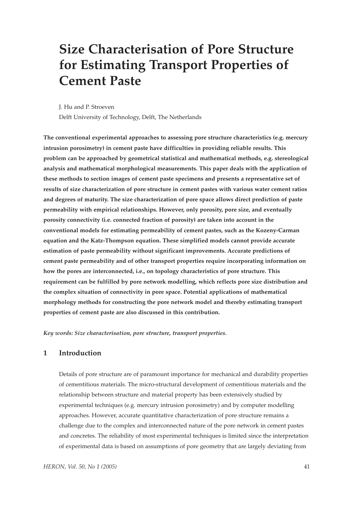# **Size Characterisation of Pore Structure for Estimating Transport Properties of Cement Paste**

J. Hu and P. Stroeven

Delft University of Technology, Delft, The Netherlands

**The conventional experimental approaches to assessing pore structure characteristics (e.g. mercury intrusion porosimetry) in cement paste have difficulties in providing reliable results. This problem can be approached by geometrical statistical and mathematical methods, e.g. stereological analysis and mathematical morphological measurements. This paper deals with the application of these methods to section images of cement paste specimens and presents a representative set of results of size characterization of pore structure in cement pastes with various water cement ratios and degrees of maturity. The size characterization of pore space allows direct prediction of paste permeability with empirical relationships. However, only porosity, pore size, and eventually porosity connectivity (i.e. connected fraction of porosity) are taken into account in the conventional models for estimating permeability of cement pastes, such as the Kozeny-Carman equation and the Katz-Thompson equation. These simplified models cannot provide accurate estimation of paste permeability without significant improvements. Accurate predictions of cement paste permeability and of other transport properties require incorporating information on how the pores are interconnected, i.e., on topology characteristics of pore structure. This requirement can be fulfilled by pore network modelling, which reflects pore size distribution and the complex situation of connectivity in pore space. Potential applications of mathematical morphology methods for constructing the pore network model and thereby estimating transport properties of cement paste are also discussed in this contribution.** 

*Key words: Size characterisation, pore structure, transport properties.*

# **1 Introduction**

Details of pore structure are of paramount importance for mechanical and durability properties of cementitious materials. The micro-structural development of cementitious materials and the relationship between structure and material property has been extensively studied by experimental techniques (e.g. mercury intrusion porosimetry) and by computer modelling approaches. However, accurate quantitative characterization of pore structure remains a challenge due to the complex and interconnected nature of the pore network in cement pastes and concretes. The reliability of most experimental techniques is limited since the interpretation of experimental data is based on assumptions of pore geometry that are largely deviating from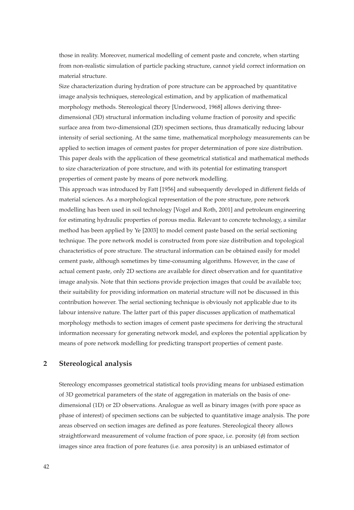those in reality. Moreover, numerical modelling of cement paste and concrete, when starting from non-realistic simulation of particle packing structure, cannot yield correct information on material structure.

Size characterization during hydration of pore structure can be approached by quantitative image analysis techniques, stereological estimation, and by application of mathematical morphology methods. Stereological theory [Underwood, 1968] allows deriving threedimensional (3D) structural information including volume fraction of porosity and specific surface area from two-dimensional (2D) specimen sections, thus dramatically reducing labour intensity of serial sectioning. At the same time, mathematical morphology measurements can be applied to section images of cement pastes for proper determination of pore size distribution. This paper deals with the application of these geometrical statistical and mathematical methods to size characterization of pore structure, and with its potential for estimating transport properties of cement paste by means of pore network modelling.

This approach was introduced by Fatt [1956] and subsequently developed in different fields of material sciences. As a morphological representation of the pore structure, pore network modelling has been used in soil technology [Vogel and Roth, 2001] and petroleum engineering for estimating hydraulic properties of porous media. Relevant to concrete technology, a similar method has been applied by Ye [2003] to model cement paste based on the serial sectioning technique. The pore network model is constructed from pore size distribution and topological characteristics of pore structure. The structural information can be obtained easily for model cement paste, although sometimes by time-consuming algorithms. However, in the case of actual cement paste, only 2D sections are available for direct observation and for quantitative image analysis. Note that thin sections provide projection images that could be available too; their suitability for providing information on material structure will not be discussed in this contribution however. The serial sectioning technique is obviously not applicable due to its labour intensive nature. The latter part of this paper discusses application of mathematical morphology methods to section images of cement paste specimens for deriving the structural information necessary for generating network model, and explores the potential application by means of pore network modelling for predicting transport properties of cement paste.

# **2 Stereological analysis**

Stereology encompasses geometrical statistical tools providing means for unbiased estimation of 3D geometrical parameters of the state of aggregation in materials on the basis of onedimensional (1D) or 2D observations. Analogue as well as binary images (with pore space as phase of interest) of specimen sections can be subjected to quantitative image analysis. The pore areas observed on section images are defined as pore features. Stereological theory allows straightforward measurement of volume fraction of pore space, i.e. porosity (φ) from section images since area fraction of pore features (i.e. area porosity) is an unbiased estimator of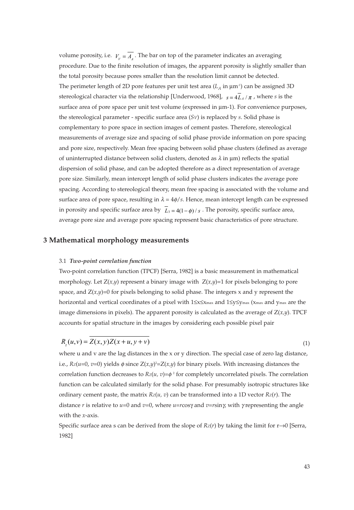volume porosity, i.e.  $V_{\nu} = A_{\mu}$ . The bar on top of the parameter indicates an averaging procedure. Due to the finite resolution of images, the apparent porosity is slightly smaller than the total porosity because pores smaller than the resolution limit cannot be detected. The perimeter length of 2D pore features per unit test area  $(L_A \text{ in } \mu\text{m}^3)$  can be assigned 3D stereological character via the relationship [Underwood, 1968],  $s = 4L_A/\pi$  , where  $s$  is the surface area of pore space per unit test volume (expressed in  $\mu$ m-1). For convenience purposes, the stereological parameter - specific surface area (*SV*) is replaced by *s*. Solid phase is complementary to pore space in section images of cement pastes. Therefore, stereological measurements of average size and spacing of solid phase provide information on pore spacing and pore size, respectively. Mean free spacing between solid phase clusters (defined as average of uninterrupted distance between solid clusters, denoted as  $\lambda$  in  $\mu$ m) reflects the spatial dispersion of solid phase, and can be adopted therefore as a direct representation of average pore size. Similarly, mean intercept length of solid phase clusters indicates the average pore spacing. According to stereological theory, mean free spacing is associated with the volume and surface area of pore space, resulting in  $\lambda = 4\phi/s$ . Hence, mean intercept length can be expressed in porosity and specific surface area by  $L_3 = 4(1 - \phi)/s$ . The porosity, specific surface area, average pore size and average pore spacing represent basic characteristics of pore structure.

## **3 Mathematical morphology measurements**

## 3.1 *Two-point correlation function*

Two-point correlation function (TPCF) [Serra, 1982] is a basic measurement in mathematical morphology. Let  $Z(x,y)$  represent a binary image with  $Z(x,y)=1$  for pixels belonging to pore space, and  $Z(x,y)=0$  for pixels belonging to solid phase. The integers x and y represent the horizontal and vertical coordinates of a pixel with 1≤x≤xmax and 1≤y≤ymax (xmax and ymax are the image dimensions in pixels). The apparent porosity is calculated as the average of Z(*x,y*). TPCF accounts for spatial structure in the images by considering each possible pixel pair

$$
R_z(u, v) = Z(x, y)Z(x + u, y + v)
$$

where u and v are the lag distances in the x or y direction. The special case of zero lag distance, i.e., *RZ*(*u*=0, *v*=0) yields φ since Z(*x,y*) 2 =Z(*x,y*) for binary pixels. With increasing distances the correlation function decreases to  $Rz(u, v) = \phi^2$  for completely uncorrelated pixels. The correlation function can be calculated similarly for the solid phase. For presumably isotropic structures like ordinary cement paste, the matrix  $Rz(u, v)$  can be transformed into a 1D vector  $Rz(r)$ . The distance *r* is relative to *u*=0 and *v*=0, where *u*=*r*cosγ and *v*=*r*sinγ, with γ representing the angle with the *x*-axis.

Specific surface area s can be derived from the slope of  $Rz(r)$  by taking the limit for  $r\rightarrow 0$  [Serra, 1982]

(1)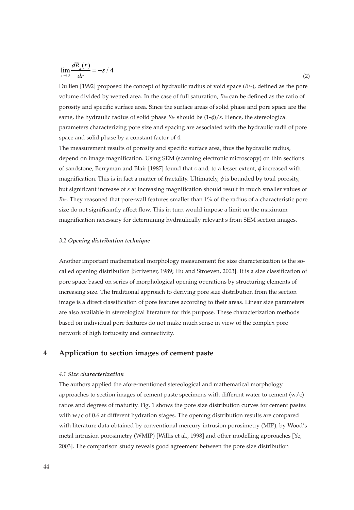$$
\lim_{r \to 0} \frac{dR_z(r)}{dr} = -s / 4 \tag{2}
$$

Dullien [1992] proposed the concept of hydraulic radius of void space (*Rhv*), defined as the pore volume divided by wetted area. In the case of full saturation, *Rhv* can be defined as the ratio of porosity and specific surface area. Since the surface areas of solid phase and pore space are the same, the hydraulic radius of solid phase *Rhs* should be (1-φ)/*s*. Hence, the stereological parameters characterizing pore size and spacing are associated with the hydraulic radii of pore space and solid phase by a constant factor of 4.

The measurement results of porosity and specific surface area, thus the hydraulic radius, depend on image magnification. Using SEM (scanning electronic microscopy) on thin sections of sandstone, Berryman and Blair [1987] found that *s* and, to a lesser extent, φ increased with magnification. This is in fact a matter of fractality. Ultimately, φ is bounded by total porosity, but significant increase of *s* at increasing magnification should result in much smaller values of *Rhv*. They reasoned that pore-wall features smaller than 1% of the radius of a characteristic pore size do not significantly affect flow. This in turn would impose a limit on the maximum magnification necessary for determining hydraulically relevant s from SEM section images.

## *3.2 Opening distribution technique*

Another important mathematical morphology measurement for size characterization is the socalled opening distribution [Scrivener, 1989; Hu and Stroeven, 2003]. It is a size classification of pore space based on series of morphological opening operations by structuring elements of increasing size. The traditional approach to deriving pore size distribution from the section image is a direct classification of pore features according to their areas. Linear size parameters are also available in stereological literature for this purpose. These characterization methods based on individual pore features do not make much sense in view of the complex pore network of high tortuosity and connectivity.

# **4 Application to section images of cement paste**

#### *4.1 Size characterization*

The authors applied the afore-mentioned stereological and mathematical morphology approaches to section images of cement paste specimens with different water to cement  $(w/c)$ ratios and degrees of maturity. Fig. 1 shows the pore size distribution curves for cement pastes with w/c of 0.6 at different hydration stages. The opening distribution results are compared with literature data obtained by conventional mercury intrusion porosimetry (MIP), by Wood's metal intrusion porosimetry (WMIP) [Willis et al., 1998] and other modelling approaches [Ye, 2003]. The comparison study reveals good agreement between the pore size distribution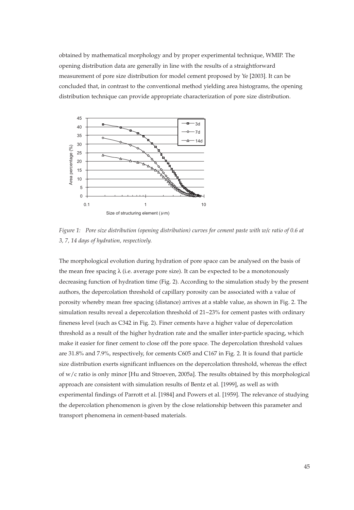obtained by mathematical morphology and by proper experimental technique, WMIP. The opening distribution data are generally in line with the results of a straightforward measurement of pore size distribution for model cement proposed by Ye [2003]. It can be concluded that, in contrast to the conventional method yielding area histograms, the opening distribution technique can provide appropriate characterization of pore size distribution.



*Figure 1: Pore size distribution (opening distribution) curves for cement paste with w/c ratio of 0.6 at 3, 7, 14 days of hydration, respectively.*

The morphological evolution during hydration of pore space can be analysed on the basis of the mean free spacing  $\lambda$  (i.e. average pore size). It can be expected to be a monotonously decreasing function of hydration time (Fig. 2). According to the simulation study by the present authors, the depercolation threshold of capillary porosity can be associated with a value of porosity whereby mean free spacing (distance) arrives at a stable value, as shown in Fig. 2. The simulation results reveal a depercolation threshold of 21~23% for cement pastes with ordinary fineness level (such as C342 in Fig. 2). Finer cements have a higher value of depercolation threshold as a result of the higher hydration rate and the smaller inter-particle spacing, which make it easier for finer cement to close off the pore space. The depercolation threshold values are 31.8% and 7.9%, respectively, for cements C605 and C167 in Fig. 2. It is found that particle size distribution exerts significant influences on the depercolation threshold, whereas the effect of w/c ratio is only minor [Hu and Stroeven, 2005a]. The results obtained by this morphological approach are consistent with simulation results of Bentz et al. [1999], as well as with experimental findings of Parrott et al. [1984] and Powers et al. [1959]. The relevance of studying the depercolation phenomenon is given by the close relationship between this parameter and transport phenomena in cement-based materials.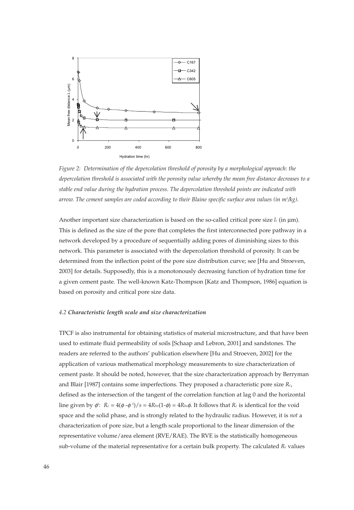

*Figure 2: Determination of the depercolation threshold of porosity by a morphological approach: the depercolation threshold is associated with the porosity value whereby the mean free distance decreases to a stable end value during the hydration process. The depercolation threshold points are indicated with arrow. The cement samples are coded according to their Blaine specific surface area values (in m2 /kg).* 

Another important size characterization is based on the so-called critical pore size  $l_c$  (in  $\mu$ m). This is defined as the size of the pore that completes the first interconnected pore pathway in a network developed by a procedure of sequentially adding pores of diminishing sizes to this network. This parameter is associated with the depercolation threshold of porosity. It can be determined from the inflection point of the pore size distribution curve; see [Hu and Stroeven, 2003] for details. Supposedly, this is a monotonously decreasing function of hydration time for a given cement paste. The well-known Katz-Thompson [Katz and Thompson, 1986] equation is based on porosity and critical pore size data.

### *4.2 Characteristic length scale and size characterization*

TPCF is also instrumental for obtaining statistics of material microstructure, and that have been used to estimate fluid permeability of soils [Schaap and Lebron, 2001] and sandstones. The readers are referred to the authors' publication elsewhere [Hu and Stroeven, 2002] for the application of various mathematical morphology measurements to size characterization of cement paste. It should be noted, however, that the size characterization approach by Berryman and Blair [1987] contains some imperfections. They proposed a characteristic pore size *Rc*, defined as the intersection of the tangent of the correlation function at lag 0 and the horizontal line given by  $\phi$ :  $R_c = 4(\phi \cdot \phi^2)/s = 4R_{hv}(1-\phi) = 4R_{hs}\phi$ . It follows that  $R_c$  is identical for the void space and the solid phase, and is strongly related to the hydraulic radius. However, it is *not* a characterization of pore size, but a length scale proportional to the linear dimension of the representative volume/area element (RVE/RAE). The RVE is the statistically homogeneous sub-volume of the material representative for a certain bulk property. The calculated *Rc* values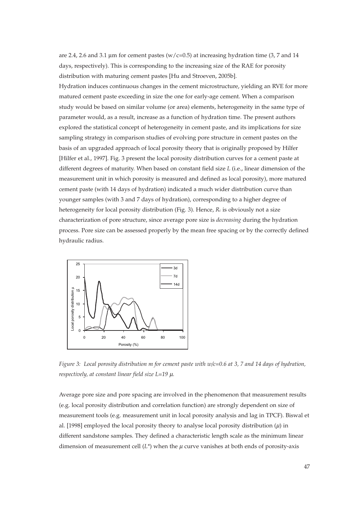are 2.4, 2.6 and 3.1 µm for cement pastes ( $w/c=0.5$ ) at increasing hydration time (3, 7 and 14 days, respectively). This is corresponding to the increasing size of the RAE for porosity distribution with maturing cement pastes [Hu and Stroeven, 2005b]. Hydration induces continuous changes in the cement microstructure, yielding an RVE for more matured cement paste exceeding in size the one for early-age cement. When a comparison study would be based on similar volume (or area) elements, heterogeneity in the same type of parameter would, as a result, increase as a function of hydration time. The present authors explored the statistical concept of heterogeneity in cement paste, and its implications for size sampling strategy in comparison studies of evolving pore structure in cement pastes on the basis of an upgraded approach of local porosity theory that is originally proposed by Hilfer

[Hilfer et al., 1997]. Fig. 3 present the local porosity distribution curves for a cement paste at different degrees of maturity. When based on constant field size *L* (i.e., linear dimension of the measurement unit in which porosity is measured and defined as local porosity), more matured cement paste (with 14 days of hydration) indicated a much wider distribution curve than younger samples (with 3 and 7 days of hydration), corresponding to a higher degree of heterogeneity for local porosity distribution (Fig. 3). Hence, *Rc* is obviously not a size characterization of pore structure, since average pore size is *decreasing* during the hydration process. Pore size can be assessed properly by the mean free spacing or by the correctly defined hydraulic radius.



*Figure 3: Local porosity distribution m for cement paste with w/c=0.6 at 3, 7 and 14 days of hydration, respectively, at constant linear field size L=19* µ*.*

Average pore size and pore spacing are involved in the phenomenon that measurement results (e.g. local porosity distribution and correlation function) are strongly dependent on size of measurement tools (e.g. measurement unit in local porosity analysis and lag in TPCF). Biswal et al. [1998] employed the local porosity theory to analyse local porosity distribution  $(\mu)$  in different sandstone samples. They defined a characteristic length scale as the minimum linear dimension of measurement cell  $(L^*)$  when the  $\mu$  curve vanishes at both ends of porosity-axis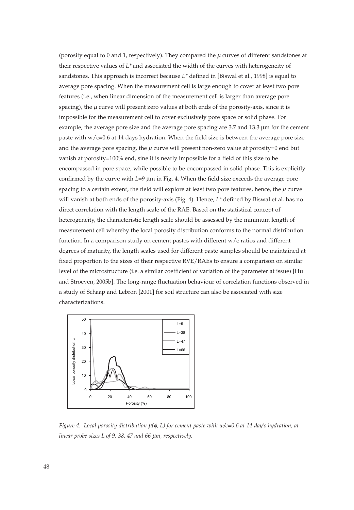(porosity equal to 0 and 1, respectively). They compared the  $\mu$  curves of different sandstones at their respective values of *L\** and associated the width of the curves with heterogeneity of sandstones. This approach is incorrect because *L\** defined in [Biswal et al., 1998] is equal to average pore spacing. When the measurement cell is large enough to cover at least two pore features (i.e., when linear dimension of the measurement cell is larger than average pore spacing), the  $\mu$  curve will present zero values at both ends of the porosity-axis, since it is impossible for the measurement cell to cover exclusively pore space or solid phase. For example, the average pore size and the average pore spacing are 3.7 and 13.3 µm for the cement paste with  $w/c=0.6$  at 14 days hydration. When the field size is between the average pore size and the average pore spacing, the  $\mu$  curve will present non-zero value at porosity=0 end but vanish at porosity=100% end, sine it is nearly impossible for a field of this size to be encompassed in pore space, while possible to be encompassed in solid phase. This is explicitly confirmed by the curve with *L*=9 µm in Fig. 4. When the field size exceeds the average pore spacing to a certain extent, the field will explore at least two pore features, hence, the  $\mu$  curve will vanish at both ends of the porosity-axis (Fig. 4). Hence, *L\** defined by Biswal et al. has no direct correlation with the length scale of the RAE. Based on the statistical concept of heterogeneity, the characteristic length scale should be assessed by the minimum length of measurement cell whereby the local porosity distribution conforms to the normal distribution function. In a comparison study on cement pastes with different w/c ratios and different degrees of maturity, the length scales used for different paste samples should be maintained at fixed proportion to the sizes of their respective RVE/RAEs to ensure a comparison on similar level of the microstructure (i.e. a similar coefficient of variation of the parameter at issue) [Hu and Stroeven, 2005b]. The long-range fluctuation behaviour of correlation functions observed in a study of Schaap and Lebron [2001] for soil structure can also be associated with size characterizations.



*Figure 4: Local porosity distribution* µ*(*φ*, L) for cement paste with w/c=0.6 at 14-day's hydration, at linear probe sizes L of 9, 38, 47 and 66* µ*m, respectively.*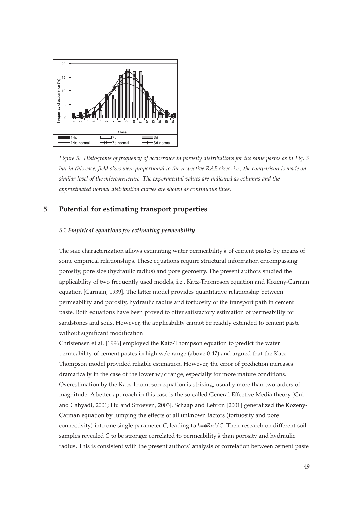

*Figure 5: Histograms of frequency of occurrence in porosity distributions for the same pastes as in Fig. 3 but in this case, field sizes were proportional to the respective RAE sizes, i.e., the comparison is made on similar level of the microstructure. The experimental values are indicated as columns and the approximated normal distribution curves are shown as continuous lines.*

# **5 Potential for estimating transport properties**

## *5.1 Empirical equations for estimating permeability*

The size characterization allows estimating water permeability *k* of cement pastes by means of some empirical relationships. These equations require structural information encompassing porosity, pore size (hydraulic radius) and pore geometry. The present authors studied the applicability of two frequently used models, i.e., Katz-Thompson equation and Kozeny-Carman equation [Carman, 1939]. The latter model provides quantitative relationship between permeability and porosity, hydraulic radius and tortuosity of the transport path in cement paste. Both equations have been proved to offer satisfactory estimation of permeability for sandstones and soils. However, the applicability cannot be readily extended to cement paste without significant modification.

Christensen et al. [1996] employed the Katz-Thompson equation to predict the water permeability of cement pastes in high  $w/c$  range (above 0.47) and argued that the Katz-Thompson model provided reliable estimation. However, the error of prediction increases dramatically in the case of the lower w/c range, especially for more mature conditions. Overestimation by the Katz-Thompson equation is striking, usually more than two orders of magnitude. A better approach in this case is the so-called General Effective Media theory [Cui and Cahyadi, 2001; Hu and Stroeven, 2003]. Schaap and Lebron [2001] generalized the Kozeny-Carman equation by lumping the effects of all unknown factors (tortuosity and pore connectivity) into one single parameter *C*, leading to  $k = \phi R_{hv}^2/C$ . Their research on different soil samples revealed *C* to be stronger correlated to permeability *k* than porosity and hydraulic radius. This is consistent with the present authors' analysis of correlation between cement paste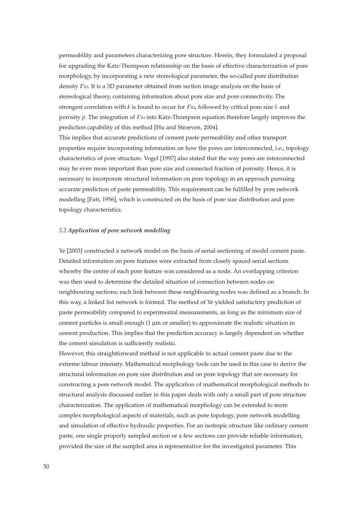permeability and parameters characterizing pore structure. Herein, they formulated a proposal for upgrading the Katz-Thompson relationship on the basis of effective characterization of pore morphology, by incorporating a new stereological parameter, the so-called pore distribution density Γ3D. It is a 3D parameter obtained from section image analysis on the basis of stereological theory, containing information about pore size and pore connectivity. The strongest correlation with *k* is found to occur for Γ3D, followed by critical pore size *lc* and porosity *p*. The integration of <sup>Γ</sup>3D into Katz-Thompson equation therefore largely improves the prediction capability of this method [Hu and Stroeven, 2004].

This implies that accurate predictions of cement paste permeability and other transport properties require incorporating information on how the pores are interconnected, i.e., topology characteristics of pore structure. Vogel [1997] also stated that the way pores are interconnected may be even more important than pore size and connected fraction of porosity. Hence, it is necessary to incorporate structural information on pore topology in an approach pursuing accurate prediction of paste permeability. This requirement can be fulfilled by pore network modelling [Fatt, 1956], which is constructed on the basis of pore size distribution and pore topology characteristics.

## *5.2 Application of pore network modelling*

Ye [2003] constructed a network model on the basis of serial sectioning of model cement paste. Detailed information on pore features were extracted from closely spaced serial sections whereby the centre of each pore feature was considered as a node. An overlapping criterion was then used to determine the detailed situation of connection between nodes on neighbouring sections; each link between these neighbouring nodes was defined as a branch. In this way, a linked list network is formed. The method of Ye yielded satisfactory prediction of paste permeability compared to experimental measurements, as long as the minimum size of cement particles is small enough  $(1 \mu m)$  or smaller) to approximate the realistic situation in cement production. This implies that the prediction accuracy is largely dependent on whether the cement simulation is sufficiently realistic.

However, this straightforward method is not applicable to actual cement paste due to the extreme labour intensity. Mathematical morphology tools can be used in this case to derive the structural information on pore size distribution and on pore topology that are necessary for constructing a pore network model. The application of mathematical morphological methods to structural analysis discussed earlier in this paper deals with only a small part of pore structure characterization. The application of mathematical morphology can be extended to more complex morphological aspects of materials, such as pore topology, pore network modelling and simulation of effective hydraulic properties. For an isotropic structure like ordinary cement paste, one single properly sampled section or a few sections can provide reliable information, provided the size of the sampled area is representative for the investigated parameter. This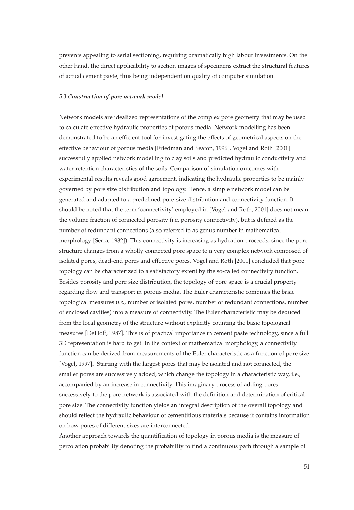prevents appealing to serial sectioning, requiring dramatically high labour investments. On the other hand, the direct applicability to section images of specimens extract the structural features of actual cement paste, thus being independent on quality of computer simulation.

## *5.3 Construction of pore network model*

Network models are idealized representations of the complex pore geometry that may be used to calculate effective hydraulic properties of porous media. Network modelling has been demonstrated to be an efficient tool for investigating the effects of geometrical aspects on the effective behaviour of porous media [Friedman and Seaton, 1996]. Vogel and Roth [2001] successfully applied network modelling to clay soils and predicted hydraulic conductivity and water retention characteristics of the soils. Comparison of simulation outcomes with experimental results reveals good agreement, indicating the hydraulic properties to be mainly governed by pore size distribution and topology. Hence, a simple network model can be generated and adapted to a predefined pore-size distribution and connectivity function. It should be noted that the term 'connectivity' employed in [Vogel and Roth, 2001] does not mean the volume fraction of connected porosity (i.e. porosity connectivity), but is defined as the number of redundant connections (also referred to as genus number in mathematical morphology [Serra, 1982]). This connectivity is increasing as hydration proceeds, since the pore structure changes from a wholly connected pore space to a very complex network composed of isolated pores, dead-end pores and effective pores. Vogel and Roth [2001] concluded that pore topology can be characterized to a satisfactory extent by the so-called connectivity function. Besides porosity and pore size distribution, the topology of pore space is a crucial property regarding flow and transport in porous media. The Euler characteristic combines the basic topological measures (*i.e.,* number of isolated pores, number of redundant connections, number of enclosed cavities) into a measure of connectivity. The Euler characteristic may be deduced from the local geometry of the structure without explicitly counting the basic topological measures [DeHoff, 1987]. This is of practical importance in cement paste technology, since a full 3D representation is hard to get. In the context of mathematical morphology, a connectivity function can be derived from measurements of the Euler characteristic as a function of pore size [Vogel, 1997]. Starting with the largest pores that may be isolated and not connected, the smaller pores are successively added, which change the topology in a characteristic way, i.e., accompanied by an increase in connectivity. This imaginary process of adding pores successively to the pore network is associated with the definition and determination of critical pore size. The connectivity function yields an integral description of the overall topology and should reflect the hydraulic behaviour of cementitious materials because it contains information on how pores of different sizes are interconnected.

Another approach towards the quantification of topology in porous media is the measure of percolation probability denoting the probability to find a continuous path through a sample of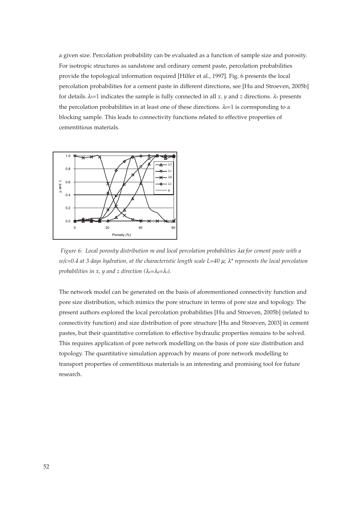a given size. Percolation probability can be evaluated as a function of sample size and porosity. For isotropic structures as sandstone and ordinary cement paste, percolation probabilities provide the topological information required [Hilfer et al., 1997]. Fig. 6 presents the local percolation probabilities for a cement paste in different directions, see [Hu and Stroeven, 2005b] for details.  $λ_3=1$  indicates the sample is fully connected in all *x*, *y* and *z* directions.  $λ_1$  presents the percolation probabilities in at least one of these directions.  $\lambda_0=1$  is corresponding to a blocking sample. This leads to connectivity functions related to effective properties of cementitious materials.



*Figure 6: Local porosity distribution m and local percolation probabilities* λα *for cement paste with a w/c=0.4 at 3 days hydration, at the characteristic length scale L=40* µ*;* λ*\* represents the local percolation probabilities in x, y and z direction (*λ*x=*λ*y=*λ*z).*

The network model can be generated on the basis of aforementioned connectivity function and pore size distribution, which mimics the pore structure in terms of pore size and topology. The present authors explored the local percolation probabilities [Hu and Stroeven, 2005b] (related to connectivity function) and size distribution of pore structure [Hu and Stroeven, 2003] in cement pastes, but their quantitative correlation to effective hydraulic properties remains to be solved. This requires application of pore network modelling on the basis of pore size distribution and topology. The quantitative simulation approach by means of pore network modelling to transport properties of cementitious materials is an interesting and promising tool for future research.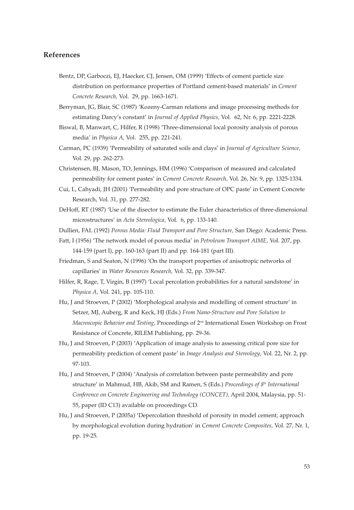## **References**

- Bentz, DP, Garboczi, EJ, Haecker, CJ, Jensen, OM (1999) 'Effects of cement particle size distribution on performance properties of Portland cement-based materials' in *Cement Concrete Research,* Vol. 29, pp. 1663-1671.
- Berryman, JG, Blair, SC (1987) 'Kozeny-Carman relations and image processing methods for estimating Darcy's constant' in *Journal of Applied Physics,* Vol. 62, Nr. 6, pp. 2221-2228.
- Biswal, B, Manwart, C, Hilfer, R (1998) 'Three-dimensional local porosity analysis of porous media' in *Physica A,* Vol. 255, pp. 221-241.
- Carman, PC (1939) 'Permeability of saturated soils and clays' in *Journal of Agriculture Science,* Vol. 29, pp. 262-273.
- Christensen, BJ, Mason, TO, Jennings, HM (1996) 'Comparison of measured and calculated permeability for cement pastes' in *Cement Concrete Research,* Vol. 26, Nr. 9, pp. 1325-1334.
- Cui, L, Cahyadi, JH (2001) 'Permeability and pore structure of OPC paste' in Cement Concrete Research, Vol. 31, pp. 277-282.
- DeHoff, RT (1987) 'Use of the disector to estimate the Euler characteristics of three-dimensional microstructures' in *Acta Stereologica,* Vol. 6, pp. 133-140.
- Dullien, FAL (1992) *Porous Media: Fluid Transport and Pore Structure,* San Diego: Academic Press.
- Fatt, I (1956) 'The network model of porous media' in *Petroleum Transport AIME,* Vol. 207, pp. 144-159 (part I), pp. 160-163 (part II) and pp. 164-181 (part III).
- Friedman, S and Seaton, N (1996) 'On the transport properties of anisotropic networks of capillaries' in *Water Resources Research,* Vol. 32, pp. 339-347.
- Hilfer, R, Rage, T, Virgin, B (1997) 'Local percolation probabilities for a natural sandstone' in *Physica A,* Vol. 241, pp. 105-110.
- Hu, J and Stroeven, P (2002) 'Morphological analysis and modelling of cement structure' in Setzer, MJ, Auberg, R and Keck, HJ (Eds.) *From Nano-Structure and Pore Solution to Macroscopic Behavior and Testing, Proceedings of 2<sup>nd</sup> International Essen Workshop on Frost* Resistance of Concrete, RILEM Publishing, pp. 29-36.
- Hu, J and Stroeven, P (2003) 'Application of image analysis to assessing critical pore size for permeability prediction of cement paste' in *Image Analysis and Stereology*, Vol. 22, Nr. 2, pp. 97-103.
- Hu, J and Stroeven, P (2004) 'Analysis of correlation between paste permeability and pore structure' in Mahmud, HB, Akib, SM and Ramen, S (Eds.) *Proceedings of 8th International Conference on Concrete Engineering and Technology (CONCET),* April 2004, Malaysia, pp. 51- 55, paper (ID C13) available on proceedings CD.
- Hu, J and Stroeven, P (2005a) 'Depercolation threshold of porosity in model cement; approach by morphological evolution during hydration' in *Cement Concrete Composites,* Vol. 27, Nr. 1, pp. 19-25.